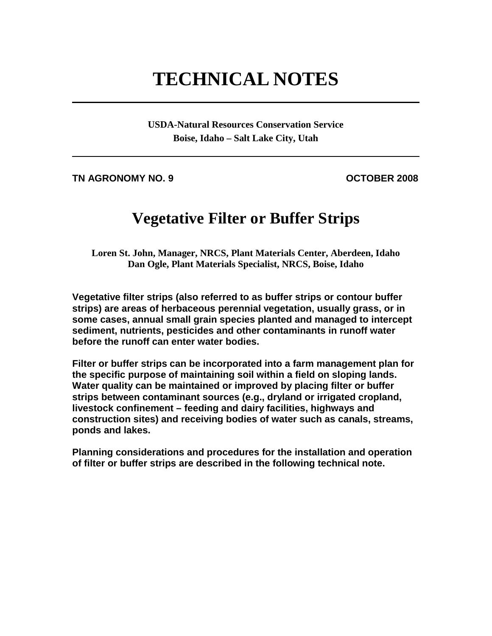# **TECHNICAL NOTES**

**USDA-Natural Resources Conservation Service Boise, Idaho – Salt Lake City, Utah**

**TN AGRONOMY NO. 9 OCTOBER 2008**

# **Vegetative Filter or Buffer Strips**

**Loren St. John, Manager, NRCS, Plant Materials Center, Aberdeen, Idaho Dan Ogle, Plant Materials Specialist, NRCS, Boise, Idaho**

**Vegetative filter strips (also referred to as buffer strips or contour buffer strips) are areas of herbaceous perennial vegetation, usually grass, or in some cases, annual small grain species planted and managed to intercept sediment, nutrients, pesticides and other contaminants in runoff water before the runoff can enter water bodies.** 

**Filter or buffer strips can be incorporated into a farm management plan for the specific purpose of maintaining soil within a field on sloping lands. Water quality can be maintained or improved by placing filter or buffer strips between contaminant sources (e.g., dryland or irrigated cropland, livestock confinement – feeding and dairy facilities, highways and construction sites) and receiving bodies of water such as canals, streams, ponds and lakes.**

**Planning considerations and procedures for the installation and operation of filter or buffer strips are described in the following technical note.**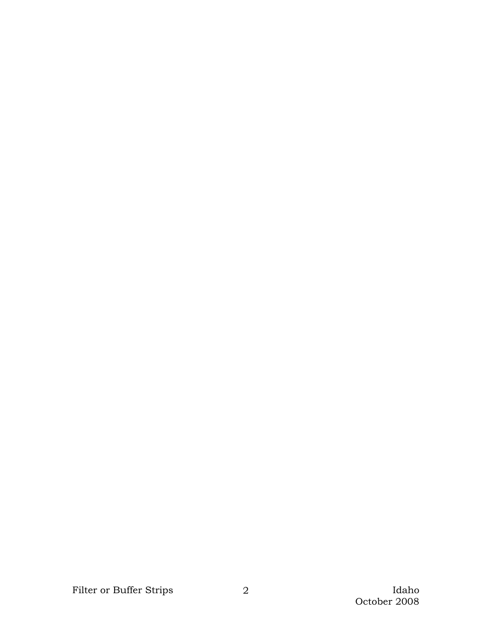Filter or Buffer Strips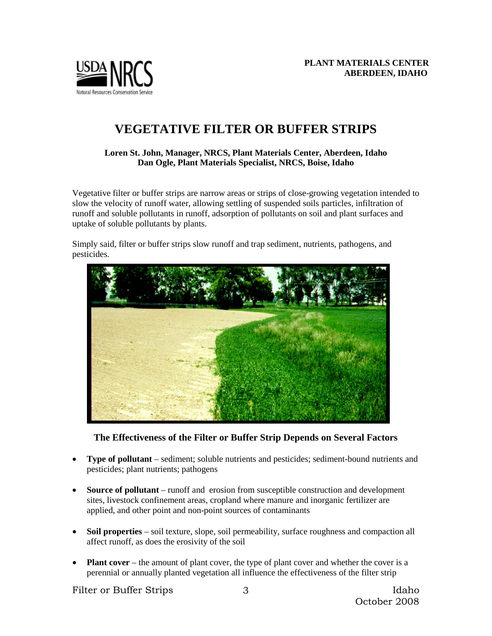



# **VEGETATIVE FILTER OR BUFFER STRIPS**

#### **Loren St. John, Manager, NRCS, Plant Materials Center, Aberdeen, Idaho Dan Ogle, Plant Materials Specialist, NRCS, Boise, Idaho**

Vegetative filter or buffer strips are narrow areas or strips of close-growing vegetation intended to slow the velocity of runoff water, allowing settling of suspended soils particles, infiltration of runoff and soluble pollutants in runoff, adsorption of pollutants on soil and plant surfaces and uptake of soluble pollutants by plants.

Simply said, filter or buffer strips slow runoff and trap sediment, nutrients, pathogens, and pesticides.



**The Effectiveness of the Filter or Buffer Strip Depends on Several Factors**

- **Type of pollutant** sediment; soluble nutrients and pesticides; sediment-bound nutrients and pesticides; plant nutrients; pathogens
- **Source of pollutant** runoff and erosion from susceptible construction and development sites, livestock confinement areas, cropland where manure and inorganic fertilizer are applied, and other point and non-point sources of contaminants
- **Soil properties** soil texture, slope, soil permeability, surface roughness and compaction all affect runoff, as does the erosivity of the soil
- **Plant cover** the amount of plant cover, the type of plant cover and whether the cover is a perennial or annually planted vegetation all influence the effectiveness of the filter strip

Filter or Buffer Strips 3 and 11 Idaho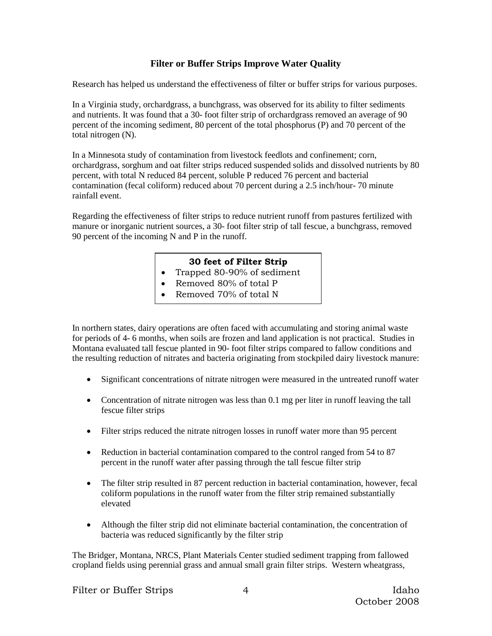## **Filter or Buffer Strips Improve Water Quality**

Research has helped us understand the effectiveness of filter or buffer strips for various purposes.

In a Virginia study, orchardgrass, a bunchgrass, was observed for its ability to filter sediments and nutrients. It was found that a 30- foot filter strip of orchardgrass removed an average of 90 percent of the incoming sediment, 80 percent of the total phosphorus (P) and 70 percent of the total nitrogen (N).

In a Minnesota study of contamination from livestock feedlots and confinement; corn, orchardgrass, sorghum and oat filter strips reduced suspended solids and dissolved nutrients by 80 percent, with total N reduced 84 percent, soluble P reduced 76 percent and bacterial contamination (fecal coliform) reduced about 70 percent during a 2.5 inch/hour- 70 minute rainfall event.

Regarding the effectiveness of filter strips to reduce nutrient runoff from pastures fertilized with manure or inorganic nutrient sources, a 30- foot filter strip of tall fescue, a bunchgrass, removed 90 percent of the incoming N and P in the runoff.

#### **30 feet of Filter Strip**

• Trapped 80-90% of sediment

- Removed 80% of total P
- Removed 70% of total N

In northern states, dairy operations are often faced with accumulating and storing animal waste for periods of 4- 6 months, when soils are frozen and land application is not practical. Studies in Montana evaluated tall fescue planted in 90- foot filter strips compared to fallow conditions and the resulting reduction of nitrates and bacteria originating from stockpiled dairy livestock manure:

- Significant concentrations of nitrate nitrogen were measured in the untreated runoff water
- Concentration of nitrate nitrogen was less than 0.1 mg per liter in runoff leaving the tall fescue filter strips
- Filter strips reduced the nitrate nitrogen losses in runoff water more than 95 percent
- Reduction in bacterial contamination compared to the control ranged from 54 to 87 percent in the runoff water after passing through the tall fescue filter strip
- The filter strip resulted in 87 percent reduction in bacterial contamination, however, fecal coliform populations in the runoff water from the filter strip remained substantially elevated
- Although the filter strip did not eliminate bacterial contamination, the concentration of bacteria was reduced significantly by the filter strip

The Bridger, Montana, NRCS, Plant Materials Center studied sediment trapping from fallowed cropland fields using perennial grass and annual small grain filter strips. Western wheatgrass,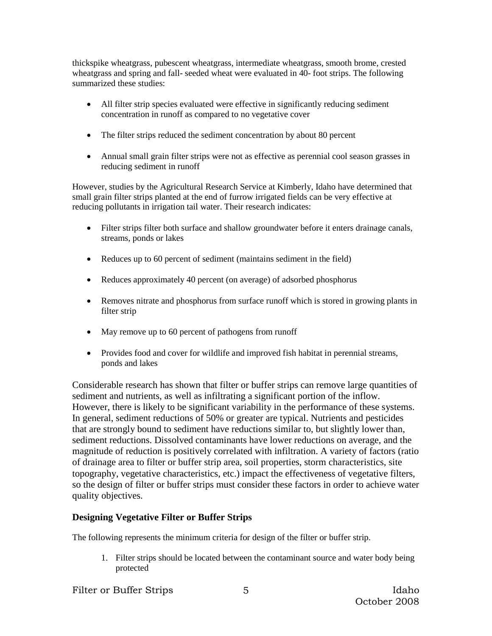thickspike wheatgrass, pubescent wheatgrass, intermediate wheatgrass, smooth brome, crested wheatgrass and spring and fall- seeded wheat were evaluated in 40- foot strips. The following summarized these studies:

- All filter strip species evaluated were effective in significantly reducing sediment concentration in runoff as compared to no vegetative cover
- The filter strips reduced the sediment concentration by about 80 percent
- Annual small grain filter strips were not as effective as perennial cool season grasses in reducing sediment in runoff

However, studies by the Agricultural Research Service at Kimberly, Idaho have determined that small grain filter strips planted at the end of furrow irrigated fields can be very effective at reducing pollutants in irrigation tail water. Their research indicates:

- Filter strips filter both surface and shallow groundwater before it enters drainage canals, streams, ponds or lakes
- Reduces up to 60 percent of sediment (maintains sediment in the field)
- Reduces approximately 40 percent (on average) of adsorbed phosphorus
- Removes nitrate and phosphorus from surface runoff which is stored in growing plants in filter strip
- May remove up to 60 percent of pathogens from runoff
- Provides food and cover for wildlife and improved fish habitat in perennial streams, ponds and lakes

Considerable research has shown that filter or buffer strips can remove large quantities of sediment and nutrients, as well as infiltrating a significant portion of the inflow. However, there is likely to be significant variability in the performance of these systems. In general, sediment reductions of 50% or greater are typical. Nutrients and pesticides that are strongly bound to sediment have reductions similar to, but slightly lower than, sediment reductions. Dissolved contaminants have lower reductions on average, and the magnitude of reduction is positively correlated with infiltration. A variety of factors (ratio of drainage area to filter or buffer strip area, soil properties, storm characteristics, site topography, vegetative characteristics, etc.) impact the effectiveness of vegetative filters, so the design of filter or buffer strips must consider these factors in order to achieve water quality objectives.

### **Designing Vegetative Filter or Buffer Strips**

The following represents the minimum criteria for design of the filter or buffer strip.

1. Filter strips should be located between the contaminant source and water body being protected

Filter or Buffer Strips 5 11 and 10 and 10 and 10 and 10 and 10 and 10 and 10 and 10 and 10 and 10 and 10 and 10 and 10 and 10 and 10 and 10 and 10 and 10 and 10 and 10 and 10 and 10 and 10 and 10 and 10 and 10 and 10 and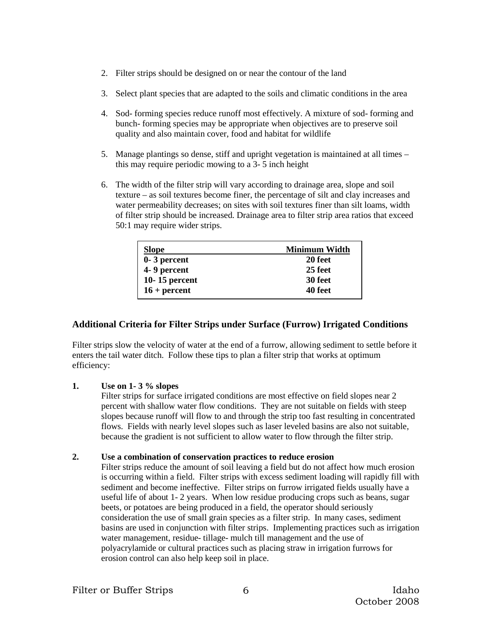- 2. Filter strips should be designed on or near the contour of the land
- 3. Select plant species that are adapted to the soils and climatic conditions in the area
- 4. Sod- forming species reduce runoff most effectively. A mixture of sod- forming and bunch- forming species may be appropriate when objectives are to preserve soil quality and also maintain cover, food and habitat for wildlife
- 5. Manage plantings so dense, stiff and upright vegetation is maintained at all times this may require periodic mowing to a 3- 5 inch height
- 6. The width of the filter strip will vary according to drainage area, slope and soil texture – as soil textures become finer, the percentage of silt and clay increases and water permeability decreases; on sites with soil textures finer than silt loams, width of filter strip should be increased. Drainage area to filter strip area ratios that exceed 50:1 may require wider strips.

| <b>Slope</b>    | <b>Minimum Width</b> |  |  |
|-----------------|----------------------|--|--|
| $0 - 3$ percent | 20 feet              |  |  |
| 4-9 percent     | 25 feet              |  |  |
| 10-15 percent   | 30 feet              |  |  |
| $16 + percent$  | 40 feet              |  |  |

### **Additional Criteria for Filter Strips under Surface (Furrow) Irrigated Conditions**

Filter strips slow the velocity of water at the end of a furrow, allowing sediment to settle before it enters the tail water ditch. Follow these tips to plan a filter strip that works at optimum efficiency:

#### **1. Use on 1- 3 % slopes**

Filter strips for surface irrigated conditions are most effective on field slopes near 2 percent with shallow water flow conditions. They are not suitable on fields with steep slopes because runoff will flow to and through the strip too fast resulting in concentrated flows. Fields with nearly level slopes such as laser leveled basins are also not suitable, because the gradient is not sufficient to allow water to flow through the filter strip.

#### **2. Use a combination of conservation practices to reduce erosion**

Filter strips reduce the amount of soil leaving a field but do not affect how much erosion is occurring within a field. Filter strips with excess sediment loading will rapidly fill with sediment and become ineffective. Filter strips on furrow irrigated fields usually have a useful life of about 1- 2 years. When low residue producing crops such as beans, sugar beets, or potatoes are being produced in a field, the operator should seriously consideration the use of small grain species as a filter strip. In many cases, sediment basins are used in conjunction with filter strips. Implementing practices such as irrigation water management, residue- tillage- mulch till management and the use of polyacrylamide or cultural practices such as placing straw in irrigation furrows for erosion control can also help keep soil in place.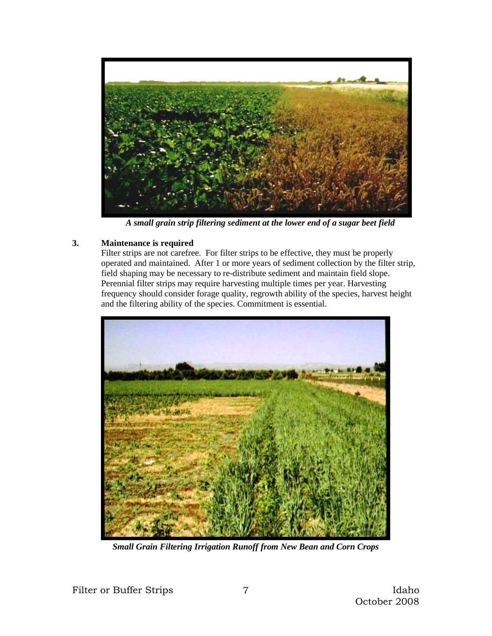

*A small grain strip filtering sediment at the lower end of a sugar beet field*

#### **3. Maintenance is required**

Filter strips are not carefree. For filter strips to be effective, they must be properly operated and maintained. After 1 or more years of sediment collection by the filter strip, field shaping may be necessary to re-distribute sediment and maintain field slope. Perennial filter strips may require harvesting multiple times per year. Harvesting frequency should consider forage quality, regrowth ability of the species, harvest height and the filtering ability of the species. Commitment is essential.



*Small Grain Filtering Irrigation Runoff from New Bean and Corn Crops*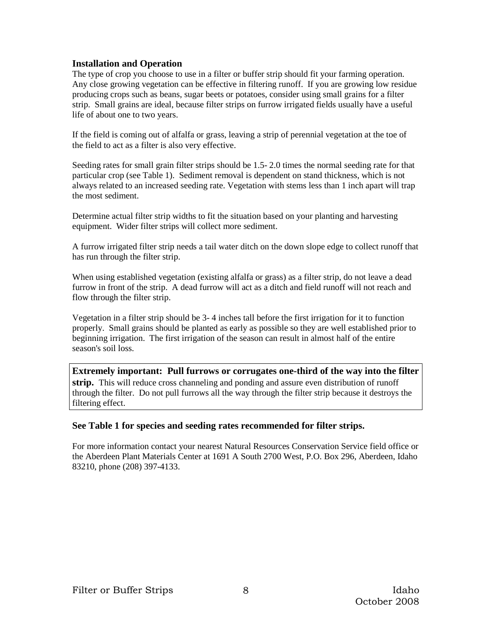#### **Installation and Operation**

The type of crop you choose to use in a filter or buffer strip should fit your farming operation. Any close growing vegetation can be effective in filtering runoff. If you are growing low residue producing crops such as beans, sugar beets or potatoes, consider using small grains for a filter strip. Small grains are ideal, because filter strips on furrow irrigated fields usually have a useful life of about one to two years.

If the field is coming out of alfalfa or grass, leaving a strip of perennial vegetation at the toe of the field to act as a filter is also very effective.

Seeding rates for small grain filter strips should be 1.5- 2.0 times the normal seeding rate for that particular crop (see Table 1). Sediment removal is dependent on stand thickness, which is not always related to an increased seeding rate. Vegetation with stems less than 1 inch apart will trap the most sediment.

Determine actual filter strip widths to fit the situation based on your planting and harvesting equipment. Wider filter strips will collect more sediment.

A furrow irrigated filter strip needs a tail water ditch on the down slope edge to collect runoff that has run through the filter strip.

When using established vegetation (existing alfalfa or grass) as a filter strip, do not leave a dead furrow in front of the strip. A dead furrow will act as a ditch and field runoff will not reach and flow through the filter strip.

Vegetation in a filter strip should be 3- 4 inches tall before the first irrigation for it to function properly. Small grains should be planted as early as possible so they are well established prior to beginning irrigation. The first irrigation of the season can result in almost half of the entire season's soil loss.

**Extremely important: Pull furrows or corrugates one-third of the way into the filter strip.** This will reduce cross channeling and ponding and assure even distribution of runoff through the filter. Do not pull furrows all the way through the filter strip because it destroys the filtering effect.

#### **See Table 1 for species and seeding rates recommended for filter strips.**

For more information contact your nearest Natural Resources Conservation Service field office or the Aberdeen Plant Materials Center at 1691 A South 2700 West, P.O. Box 296, Aberdeen, Idaho 83210, phone (208) 397-4133.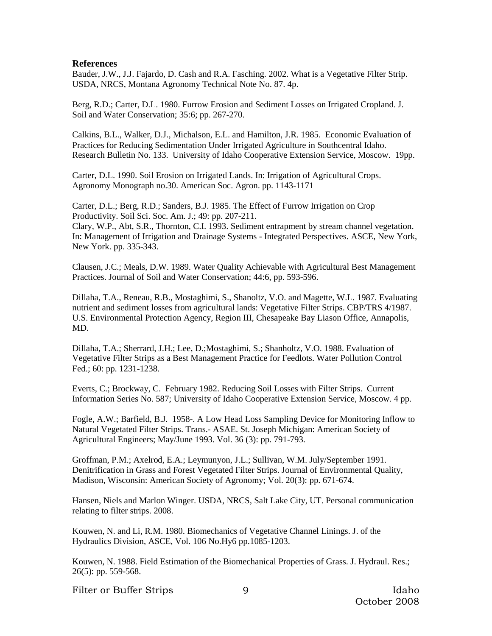#### **References**

Bauder, J.W., J.J. Fajardo, D. Cash and R.A. Fasching. 2002. What is a Vegetative Filter Strip. USDA, NRCS, Montana Agronomy Technical Note No. 87. 4p.

Berg, R.D.; Carter, D.L. 1980. Furrow Erosion and Sediment Losses on Irrigated Cropland. J. Soil and Water Conservation; 35:6; pp. 267-270.

Calkins, B.L., Walker, D.J., Michalson, E.L. and Hamilton, J.R. 1985. Economic Evaluation of Practices for Reducing Sedimentation Under Irrigated Agriculture in Southcentral Idaho. Research Bulletin No. 133. University of Idaho Cooperative Extension Service, Moscow. 19pp.

Carter, D.L. 1990. Soil Erosion on Irrigated Lands. In: Irrigation of Agricultural Crops. Agronomy Monograph no.30. American Soc. Agron. pp. 1143-1171

Carter, D.L.; Berg, R.D.; Sanders, B.J. 1985. The Effect of Furrow Irrigation on Crop Productivity. Soil Sci. Soc. Am. J.; 49: pp. 207-211.

Clary, W.P., Abt, S.R., Thornton, C.I. 1993. Sediment entrapment by stream channel vegetation. In: Management of Irrigation and Drainage Systems - Integrated Perspectives. ASCE, New York, New York. pp. 335-343.

Clausen, J.C.; Meals, D.W. 1989. Water Quality Achievable with Agricultural Best Management Practices. Journal of Soil and Water Conservation; 44:6, pp. 593-596.

Dillaha, T.A., Reneau, R.B., Mostaghimi, S., Shanoltz, V.O. and Magette, W.L. 1987. Evaluating nutrient and sediment losses from agricultural lands: Vegetative Filter Strips. CBP/TRS 4/1987. U.S. Environmental Protection Agency, Region III, Chesapeake Bay Liason Office, Annapolis, MD.

Dillaha, T.A.; Sherrard, J.H.; Lee, D.;Mostaghimi, S.; Shanholtz, V.O. 1988. Evaluation of Vegetative Filter Strips as a Best Management Practice for Feedlots. Water Pollution Control Fed.; 60: pp. 1231-1238.

Everts, C.; Brockway, C. February 1982. Reducing Soil Losses with Filter Strips. Current Information Series No. 587; University of Idaho Cooperative Extension Service, Moscow. 4 pp.

Fogle, A.W.; Barfield, B.J. 1958-. A Low Head Loss Sampling Device for Monitoring Inflow to Natural Vegetated Filter Strips. Trans.- ASAE. St. Joseph Michigan: American Society of Agricultural Engineers; May/June 1993. Vol. 36 (3): pp. 791-793.

Groffman, P.M.; Axelrod, E.A.; Leymunyon, J.L.; Sullivan, W.M. July/September 1991. Denitrification in Grass and Forest Vegetated Filter Strips. Journal of Environmental Quality, Madison, Wisconsin: American Society of Agronomy; Vol. 20(3): pp. 671-674.

Hansen, Niels and Marlon Winger. USDA, NRCS, Salt Lake City, UT. Personal communication relating to filter strips. 2008.

Kouwen, N. and Li, R.M. 1980. Biomechanics of Vegetative Channel Linings. J. of the Hydraulics Division, ASCE, Vol. 106 No.Hy6 pp.1085-1203.

Kouwen, N. 1988. Field Estimation of the Biomechanical Properties of Grass. J. Hydraul. Res.; 26(5): pp. 559-568.

Filter or Buffer Strips 9 11 and 10 and 10 and 10 and 10 and 10 and 10 and 10 and 10 and 10 and 10 and 10 and 10 and 10 and 10 and 10 and 10 and 10 and 10 and 10 and 10 and 10 and 10 and 10 and 10 and 10 and 10 and 10 and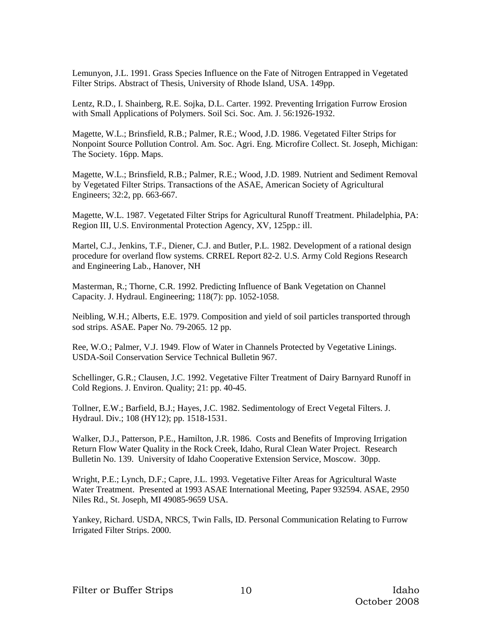Lemunyon, J.L. 1991. Grass Species Influence on the Fate of Nitrogen Entrapped in Vegetated Filter Strips. Abstract of Thesis, University of Rhode Island, USA. 149pp.

Lentz, R.D., I. Shainberg, R.E. Sojka, D.L. Carter. 1992. Preventing Irrigation Furrow Erosion with Small Applications of Polymers. Soil Sci. Soc. Am. J. 56:1926-1932.

Magette, W.L.; Brinsfield, R.B.; Palmer, R.E.; Wood, J.D. 1986. Vegetated Filter Strips for Nonpoint Source Pollution Control. Am. Soc. Agri. Eng. Microfire Collect. St. Joseph, Michigan: The Society. 16pp. Maps.

Magette, W.L.; Brinsfield, R.B.; Palmer, R.E.; Wood, J.D. 1989. Nutrient and Sediment Removal by Vegetated Filter Strips. Transactions of the ASAE, American Society of Agricultural Engineers; 32:2, pp. 663-667.

Magette, W.L. 1987. Vegetated Filter Strips for Agricultural Runoff Treatment. Philadelphia, PA: Region III, U.S. Environmental Protection Agency, XV, 125pp.: ill.

Martel, C.J., Jenkins, T.F., Diener, C.J. and Butler, P.L. 1982. Development of a rational design procedure for overland flow systems. CRREL Report 82-2. U.S. Army Cold Regions Research and Engineering Lab., Hanover, NH

Masterman, R.; Thorne, C.R. 1992. Predicting Influence of Bank Vegetation on Channel Capacity. J. Hydraul. Engineering; 118(7): pp. 1052-1058.

Neibling, W.H.; Alberts, E.E. 1979. Composition and yield of soil particles transported through sod strips. ASAE. Paper No. 79-2065. 12 pp.

Ree, W.O.; Palmer, V.J. 1949. Flow of Water in Channels Protected by Vegetative Linings. USDA-Soil Conservation Service Technical Bulletin 967.

Schellinger, G.R.; Clausen, J.C. 1992. Vegetative Filter Treatment of Dairy Barnyard Runoff in Cold Regions. J. Environ. Quality; 21: pp. 40-45.

Tollner, E.W.; Barfield, B.J.; Hayes, J.C. 1982. Sedimentology of Erect Vegetal Filters. J. Hydraul. Div.; 108 (HY12); pp. 1518-1531.

Walker, D.J., Patterson, P.E., Hamilton, J.R. 1986. Costs and Benefits of Improving Irrigation Return Flow Water Quality in the Rock Creek, Idaho, Rural Clean Water Project. Research Bulletin No. 139. University of Idaho Cooperative Extension Service, Moscow. 30pp.

Wright, P.E.; Lynch, D.F.; Capre, J.L. 1993. Vegetative Filter Areas for Agricultural Waste Water Treatment. Presented at 1993 ASAE International Meeting, Paper 932594. ASAE, 2950 Niles Rd., St. Joseph, MI 49085-9659 USA.

Yankey, Richard. USDA, NRCS, Twin Falls, ID. Personal Communication Relating to Furrow Irrigated Filter Strips. 2000.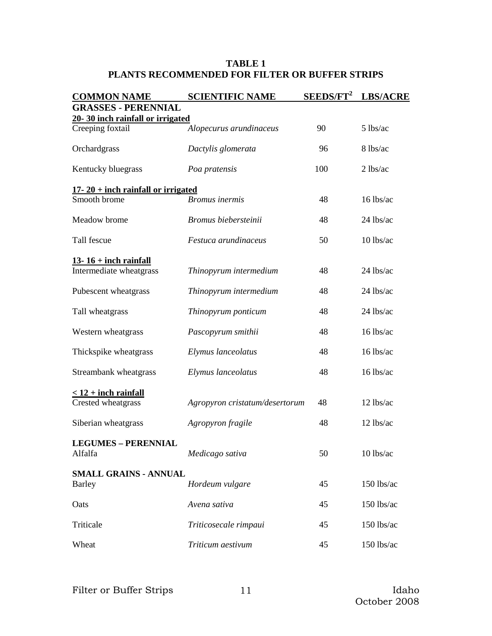# **TABLE 1 PLANTS RECOMMENDED FOR FILTER OR BUFFER STRIPS**

| <b>COMMON NAME</b>                            | <b>SCIENTIFIC NAME</b>         | $SEEDS/FT^2$ | <b>LBS/ACRE</b> |
|-----------------------------------------------|--------------------------------|--------------|-----------------|
| <b>GRASSES - PERENNIAL</b>                    |                                |              |                 |
| 20-30 inch rainfall or irrigated              |                                |              |                 |
| Creeping foxtail                              | Alopecurus arundinaceus        | 90           | 5 lbs/ac        |
| Orchardgrass                                  | Dactylis glomerata             | 96           | 8 lbs/ac        |
| Kentucky bluegrass                            | Poa pratensis                  | 100          | $2$ lbs/ac      |
| $17 - 20$ + inch rainfall or irrigated        |                                |              |                 |
| Smooth brome                                  | <b>Bromus</b> inermis          | 48           | $16$ lbs/ac     |
| Meadow brome                                  | Bromus biebersteinii           | 48           | 24 lbs/ac       |
| Tall fescue                                   | Festuca arundinaceus           | 50           | 10 lbs/ac       |
| $13 - 16 + inch$ rainfall                     |                                |              |                 |
| Intermediate wheatgrass                       | Thinopyrum intermedium         | 48           | 24 lbs/ac       |
| Pubescent wheatgrass                          | Thinopyrum intermedium         | 48           | $24$ lbs/ac     |
| Tall wheatgrass                               | Thinopyrum ponticum            | 48           | 24 lbs/ac       |
| Western wheatgrass                            | Pascopyrum smithii             | 48           | $16$ lbs/ac     |
| Thickspike wheatgrass                         | Elymus lanceolatus             | 48           | 16 lbs/ac       |
| Streambank wheatgrass                         | Elymus lanceolatus             | 48           | 16 lbs/ac       |
| $\leq$ 12 + inch rainfall                     |                                |              |                 |
| Crested wheatgrass                            | Agropyron cristatum/desertorum | 48           | 12 lbs/ac       |
| Siberian wheatgrass                           | Agropyron fragile              | 48           | 12 lbs/ac       |
| <b>LEGUMES - PERENNIAL</b><br>Alfalfa         | Medicago sativa                | 50           | $10$ lbs/ac     |
|                                               |                                |              |                 |
| <b>SMALL GRAINS - ANNUAL</b><br><b>Barley</b> | Hordeum vulgare                | 45           | $150$ lbs/ac    |
| Oats                                          | Avena sativa                   | 45           | $150$ lbs/ac    |
| Triticale                                     | Triticosecale rimpaui          | 45           | $150$ lbs/ac    |
| Wheat                                         | Triticum aestivum              | 45           | $150$ lbs/ac    |